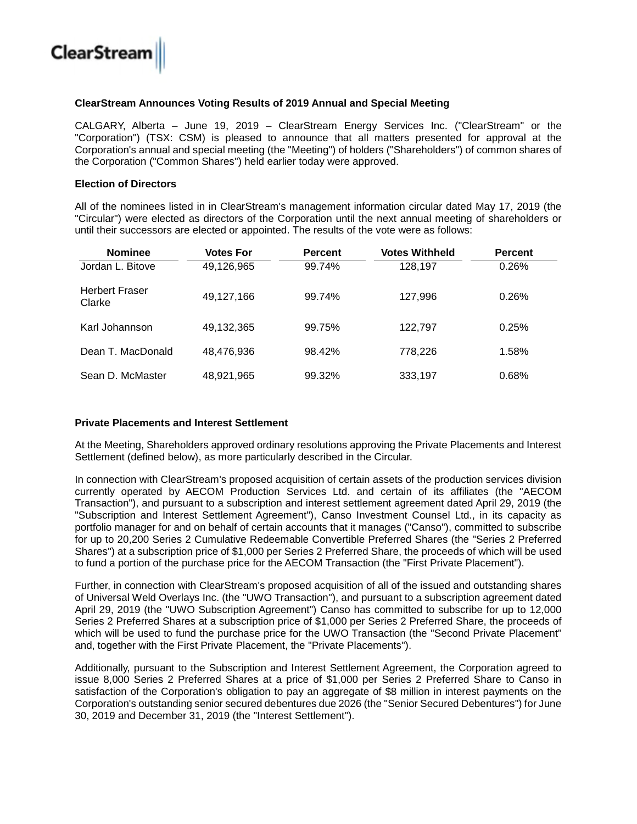

### **ClearStream Announces Voting Results of 2019 Annual and Special Meeting**

CALGARY, Alberta – June 19, 2019 – ClearStream Energy Services Inc. ("ClearStream" or the "Corporation") (TSX: CSM) is pleased to announce that all matters presented for approval at the Corporation's annual and special meeting (the "Meeting") of holders ("Shareholders") of common shares of the Corporation ("Common Shares") held earlier today were approved.

### **Election of Directors**

All of the nominees listed in in ClearStream's management information circular dated May 17, 2019 (the "Circular") were elected as directors of the Corporation until the next annual meeting of shareholders or until their successors are elected or appointed. The results of the vote were as follows:

| <b>Nominee</b>                  | <b>Votes For</b> | <b>Percent</b> | <b>Votes Withheld</b> | <b>Percent</b> |  |
|---------------------------------|------------------|----------------|-----------------------|----------------|--|
| Jordan L. Bitove                | 49,126,965       | 99.74%         | 128,197               | 0.26%          |  |
| <b>Herbert Fraser</b><br>Clarke | 49,127,166       | 99.74%         | 127,996               | 0.26%          |  |
| Karl Johannson                  | 49,132,365       | 99.75%         | 122,797               | 0.25%          |  |
| Dean T. MacDonald               | 48,476,936       | 98.42%         | 778.226               | 1.58%          |  |
| Sean D. McMaster                | 48,921,965       | 99.32%         | 333,197               | 0.68%          |  |

### **Private Placements and Interest Settlement**

At the Meeting, Shareholders approved ordinary resolutions approving the Private Placements and Interest Settlement (defined below), as more particularly described in the Circular.

In connection with ClearStream's proposed acquisition of certain assets of the production services division currently operated by AECOM Production Services Ltd. and certain of its affiliates (the "AECOM Transaction"), and pursuant to a subscription and interest settlement agreement dated April 29, 2019 (the "Subscription and Interest Settlement Agreement"), Canso Investment Counsel Ltd., in its capacity as portfolio manager for and on behalf of certain accounts that it manages ("Canso"), committed to subscribe for up to 20,200 Series 2 Cumulative Redeemable Convertible Preferred Shares (the "Series 2 Preferred Shares") at a subscription price of \$1,000 per Series 2 Preferred Share, the proceeds of which will be used to fund a portion of the purchase price for the AECOM Transaction (the "First Private Placement").

Further, in connection with ClearStream's proposed acquisition of all of the issued and outstanding shares of Universal Weld Overlays Inc. (the "UWO Transaction"), and pursuant to a subscription agreement dated April 29, 2019 (the "UWO Subscription Agreement") Canso has committed to subscribe for up to 12,000 Series 2 Preferred Shares at a subscription price of \$1,000 per Series 2 Preferred Share, the proceeds of which will be used to fund the purchase price for the UWO Transaction (the "Second Private Placement" and, together with the First Private Placement, the "Private Placements").

Additionally, pursuant to the Subscription and Interest Settlement Agreement, the Corporation agreed to issue 8,000 Series 2 Preferred Shares at a price of \$1,000 per Series 2 Preferred Share to Canso in satisfaction of the Corporation's obligation to pay an aggregate of \$8 million in interest payments on the Corporation's outstanding senior secured debentures due 2026 (the "Senior Secured Debentures") for June 30, 2019 and December 31, 2019 (the "Interest Settlement").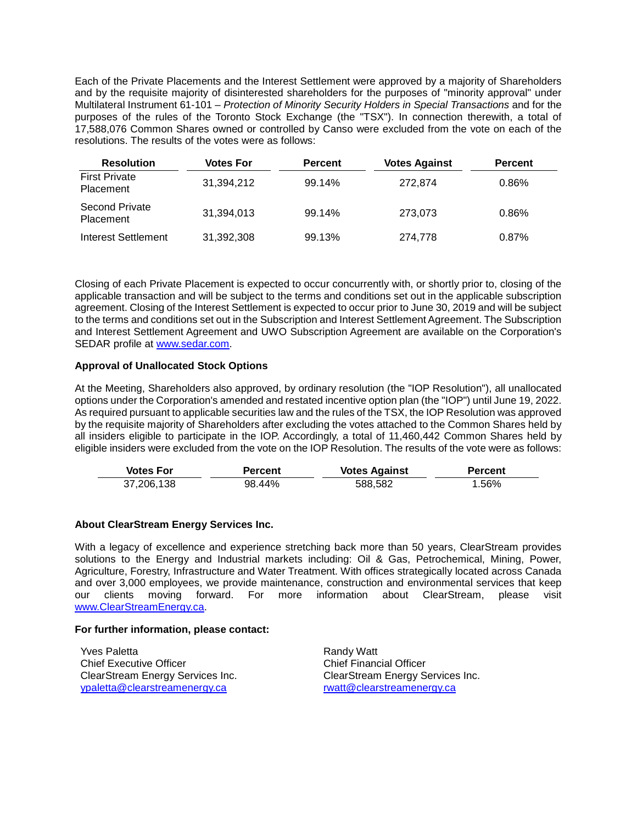Each of the Private Placements and the Interest Settlement were approved by a majority of Shareholders and by the requisite majority of disinterested shareholders for the purposes of "minority approval" under Multilateral Instrument 61-101 – *Protection of Minority Security Holders in Special Transactions* and for the purposes of the rules of the Toronto Stock Exchange (the "TSX"). In connection therewith, a total of 17,588,076 Common Shares owned or controlled by Canso were excluded from the vote on each of the resolutions. The results of the votes were as follows:

| <b>Resolution</b>                         | Votes For  | <b>Percent</b> | <b>Votes Against</b> | <b>Percent</b> |
|-------------------------------------------|------------|----------------|----------------------|----------------|
| <b>First Private</b><br><b>Placement</b>  | 31,394,212 | 99.14%         | 272.874              | 0.86%          |
| <b>Second Private</b><br><b>Placement</b> | 31,394,013 | 99.14%         | 273.073              | 0.86%          |
| Interest Settlement                       | 31,392,308 | 99.13%         | 274.778              | 0.87%          |

Closing of each Private Placement is expected to occur concurrently with, or shortly prior to, closing of the applicable transaction and will be subject to the terms and conditions set out in the applicable subscription agreement. Closing of the Interest Settlement is expected to occur prior to June 30, 2019 and will be subject to the terms and conditions set out in the Subscription and Interest Settlement Agreement. The Subscription and Interest Settlement Agreement and UWO Subscription Agreement are available on the Corporation's SEDAR profile at www.sedar.com.

# **Approval of Unallocated Stock Options**

At the Meeting, Shareholders also approved, by ordinary resolution (the "IOP Resolution"), all unallocated options under the Corporation's amended and restated incentive option plan (the "IOP") until June 19, 2022. As required pursuant to applicable securities law and the rules of the TSX, the IOP Resolution was approved by the requisite majority of Shareholders after excluding the votes attached to the Common Shares held by all insiders eligible to participate in the IOP. Accordingly, a total of 11,460,442 Common Shares held by eligible insiders were excluded from the vote on the IOP Resolution. The results of the vote were as follows:

| <b>Votes For</b> | Percent | <b>Votes Against</b> | Percent |
|------------------|---------|----------------------|---------|
| 37,206,138       | 98.44%  | 588.582              | 1.56%   |

## **About ClearStream Energy Services Inc.**

With a legacy of excellence and experience stretching back more than 50 years, ClearStream provides solutions to the Energy and Industrial markets including: Oil & Gas, Petrochemical, Mining, Power, Agriculture, Forestry, Infrastructure and Water Treatment. With offices strategically located across Canada and over 3,000 employees, we provide maintenance, construction and environmental services that keep our clients moving forward. For more information about ClearStream, please visit www.ClearStreamEnergy.ca.

## **For further information, please contact:**

Yves Paletta Chief Executive Officer ClearStream Energy Services Inc. ypaletta@clearstreamenergy.ca

Randy Watt Chief Financial Officer ClearStream Energy Services Inc. rwatt@clearstreamenergy.ca